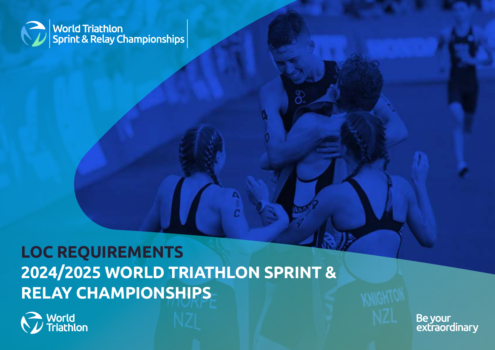

# **LOC REQUIREMENTS 2024/2025 WORLD TRIATHLON SPRINT & RELAY CHAMPIONSHIPS**



Be your<br>extraordinary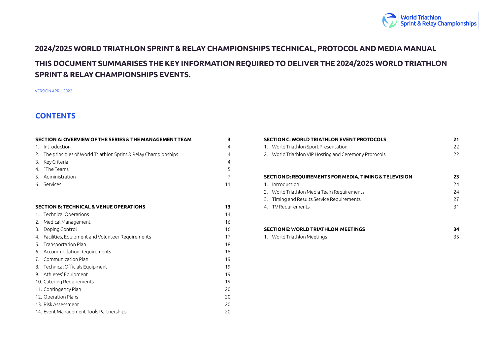

### <span id="page-1-0"></span>**2024/2025 WORLD TRIATHLON SPRINT & RELAY CHAMPIONSHIPS TECHNICAL, PROTOCOL AND MEDIA MANUAL THIS DOCUMENT SUMMARISES THE KEY INFORMATION REQUIRED TO DELIVER THE 2024/2025 WORLD TRIATHLON SPRINT & RELAY CHAMPIONSHIPS EVENTS.**

VERSION APRIL 2022

#### **CONTENTS**

| SECTION A: OVERVIEW OF THE SERIES & THE MANAGEMENT TEAM           | 3              |
|-------------------------------------------------------------------|----------------|
| 1. Introduction                                                   | $\overline{4}$ |
| 2. The principles of World Triathlon Sprint & Relay Championships | $\overline{4}$ |
| 3. Key Criteria                                                   | $\overline{4}$ |
| 4. "The Teams"                                                    | 5              |
| 5. Administration                                                 | $\overline{7}$ |
| 6. Services                                                       | 11             |
|                                                                   |                |
| <b>SECTION B: TECHNICAL &amp; VENUE OPERATIONS</b>                | 13             |
| 1. Technical Operations                                           | 14             |
| 2. Medical Management                                             | 16             |
| 3. Doping Control                                                 | 16             |
| 4. Facilities, Equipment and Volunteer Requirements               | 17             |
| 5. Transportation Plan                                            | 18             |
| 6. Accommodation Requirements                                     | 18             |
| 7. Communication Plan                                             | 19             |
| 8. Technical Officials Equipment                                  | 19             |
| 9. Athletes' Equipment                                            | 19             |
| 10. Catering Requirements                                         | 19             |
| 11. Contingency Plan                                              | 20             |
| 12. Operation Plans                                               | 20             |
| 13. Risk Assessment                                               | 20             |
| 14. Event Management Tools Partnerships                           | 20             |

| <b>SECTION C: WORLD TRIATHLON EVENT PROTOCOLS</b>      | 21 |
|--------------------------------------------------------|----|
| World Triathlon Sport Presentation<br>1.               | 22 |
| 2. World Triathlon VIP Hosting and Ceremony Protocols  | 22 |
|                                                        |    |
|                                                        |    |
| SECTION D: REQUIREMENTS FOR MEDIA, TIMING & TELEVISION | 23 |
| Introduction                                           | 24 |
| 2. World Triathlon Media Team Requirements             | 24 |
| Timing and Results Service Requirements<br>3.          | 27 |
| TV Requirements<br>4.                                  | 31 |
|                                                        |    |

| SECTION E: WORLD TRIATHLON MEETINGS |                             |  |  |  |
|-------------------------------------|-----------------------------|--|--|--|
|                                     | 1. World Triathlon Meetings |  |  |  |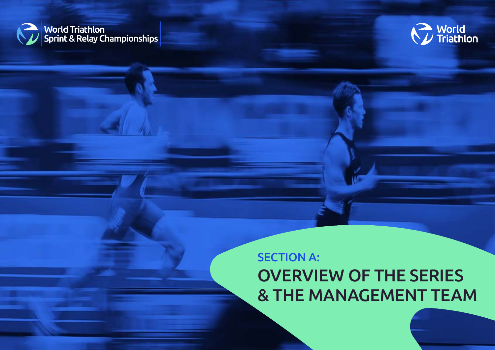<span id="page-2-0"></span>



### SECTION A: OVERVIEW OF THE SERIES & THE MANAGEMENT TEAM

3 | LOC REQUIREMENTS: 2024/2025 WORLD TRIATHLON SPRINT & RELAY CHAMPIONSHIPS – APRIL 2022 [BACK TO TABLE OF CONTENTS](#page-1-0)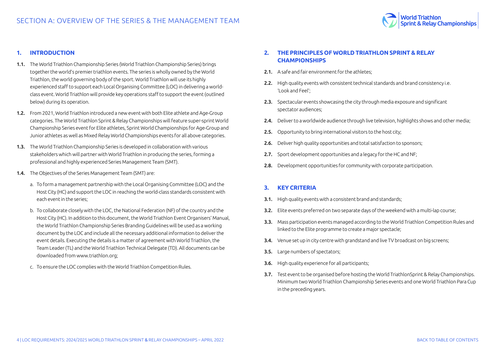

#### <span id="page-3-0"></span>**1. INTRODUCTION**

- 1.1. The World Triathlon Championship Series (World Triathlon Championship Series) brings together the world's premier triathlon events. The series is wholly owned by the World Triathlon, the world governing body of the sport. World Triathlon will use its highly experienced staff to support each Local Organising Committee (LOC) in delivering a worldclass event. World Triathlon will provide key operations staff to support the event (outlined below) during its operation.
- 1.2. From 2021, World Triathlon introduced a new event with both Elite athlete and Age-Group categories. The World Triathlon Sprint & Relay Championships will feature super-sprint World Championship Series event for Elite athletes, Sprint World Championships for Age-Group and Junior athletes as well as Mixed Relay World Championships events for all above categories.
- 1.3. The World Triathlon Championship Series is developed in collaboration with various stakeholders which will partner with World Triathlon in producing the series, forming a professional and highly experienced Series Management Team (SMT).
- 1.4. The Objectives of the Series Management Team (SMT) are:
	- a. To form a management partnership with the Local Organising Committee (LOC) and the Host City (HC) and support the LOC in reaching the world-class standards consistent with each event in the series;
	- b. To collaborate closely with the LOC, the National Federation (NF) of the country and the Host City (HC). In addition to this document, the World Triathlon Event Organisers' Manual, the World Triathlon Championship Series Branding Guidelines will be used as a working document by the LOC and include all the necessary additional information to deliver the event details. Executing the details is a matter of agreement with World Triathlon, the Team Leader (TL) and the World Triathlon Technical Delegate (TD). All documents can be downloaded from www.triathlon.org;
	- c. To ensure the LOC complies with the World Triathlon Competition Rules.

#### **2. THE PRINCIPLES OF WORLD TRIATHLON SPRINT & RELAY CHAMPIONSHIPS**

- 2.1. A safe and fair environment for the athletes:
- 2.2. High quality events with consistent technical standards and brand consistency i.e. 'Look and Feel';
- 2.3. Spectacular events showcasing the city through media exposure and significant spectator audiences;
- 2.4. Deliver to a worldwide audience through live television, highlights shows and other media;
- 2.5. Opportunity to bring international visitors to the host city:
- 2.6. Deliver high quality opportunities and total satisfaction to sponsors;
- 2.7. Sport development opportunities and a legacy for the HC and NF:
- 2.8. Development opportunities for community with corporate participation.

#### **3. KEY CRITERIA**

- **3.1.** High quality events with a consistent brand and standards:
- 3.2. Elite events preferred on two separate days of the weekend with a multi-lap course;
- 3.3. Mass participation events managed according to the World Triathlon Competition Rules and linked to the Elite programme to create a major spectacle;
- 3.4. Venue set up in city centre with grandstand and live TV broadcast on big screens;
- 3.5. Large numbers of spectators;
- 3.6. High quality experience for all participants;
- 3.7. Test event to be organised before hosting the World TriathlonSprint & Relay Championships. Minimum two World Triathlon Championship Series events and one World Triathlon Para Cup in the preceding years.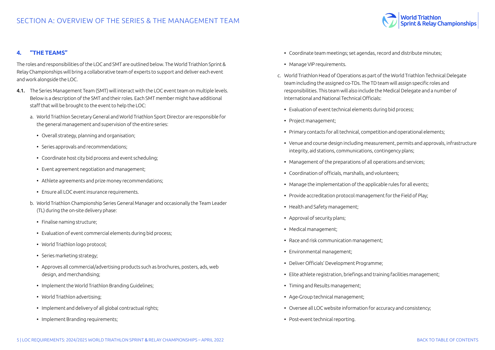

#### <span id="page-4-0"></span>**4. "THE TEAMS"**

The roles and responsibilities of the LOC and SMT are outlined below. The World Triathlon Sprint & Relay Championships will bring a collaborative team of experts to support and deliver each event and work alongside the LOC.

- 4.1. The Series Management Team (SMT) will interact with the LOC event team on multiple levels. Below is a description of the SMT and their roles. Each SMT member might have additional staff that will be brought to the event to help the LOC:
	- a. World Triathlon Secretary General and World Triathlon Sport Director are responsible for the general management and supervision of the entire series:
		- Overall strategy, planning and organisation;
		- Series approvals and recommendations;
		- Coordinate host city bid process and event scheduling;
		- Event agreement negotiation and management;
		- Athlete agreements and prize money recommendations;
		- Ensure all LOC event insurance requirements.
	- b. World Triathlon Championship Series General Manager and occasionally the Team Leader (TL) during the on-site delivery phase:
		- Finalise naming structure;
		- Evaluation of event commercial elements during bid process;
		- World Triathlon logo protocol;
		- Series marketing strategy;
		- Approves all commercial/advertising products such as brochures, posters, ads, web design, and merchandising;
		- Implement the World Triathlon Branding Guidelines;
		- World Triathlon advertising;
		- Implement and delivery of all global contractual rights;
		- Implement Branding requirements;
- Coordinate team meetings; set agendas, record and distribute minutes;
- Manage VIP requirements.
- c. World Triathlon Head of Operations as part of the World Triathlon Technical Delegate team including the assigned co-TDs. The TD team will assign specific roles and responsibilities. This team will also include the Medical Delegate and a number of International and National Technical Officials:
	- Evaluation of event technical elements during bid process;
	- Project management;
	- Primary contacts for all technical, competition and operational elements;
	- Venue and course design including measurement, permits and approvals, infrastructure integrity, aid stations, communications, contingency plans;
	- Management of the preparations of all operations and services;
	- Coordination of officials, marshalls, and volunteers;
	- Manage the implementation of the applicable rules for all events;
	- Provide accreditation protocol management for the Field of Play;
	- Health and Safety management;
	- Approval of security plans;
	- Medical management;
	- Race and risk communication management;
	- Environmental management;
	- Deliver Officials' Development Programme;
	- Elite athlete registration, briefings and training facilities management;
	- Timing and Results management;
	- Age-Group technical management;
	- Oversee all LOC website information for accuracy and consistency;
	- Post-event technical reporting.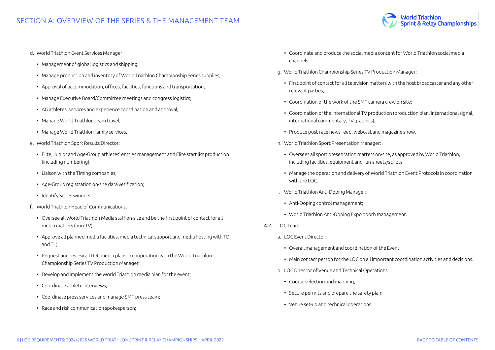

d. World Triathlon Event Services Manager

- Management of global logistics and shipping;
- Manage production and inventory of World Triathlon Championship Series supplies;
- Approval of accommodation, offices, facilities, functions and transportation;
- Manage Executive Board/Committee meetings and congress logistics;
- AG athletes' services and experience coordination and approval;
- Manage World Triathlon team travel;
- Manage World Triathlon family services.
- e. World Triathlon Sport Results Director:
	- Elite, Junior and Age-Group athletes' entries management and Elite start list production (including numbering);
	- Liaison with the Timing companies;
	- Age-Group registration on-site data verification;
	- Identify Series winners.
- f. World Triathlon Head of Communications:
	- Oversee all World Triathlon Media staff on-site and be the first point of contact for all media matters (non-TV);
	- Approve all planned media facilities, media technical support and media hosting with TD and TL;
	- Request and review all LOC media plans in cooperation with the World Triathlon Championship Series TV Production Manager;
	- Develop and implement the World Triathlon media plan for the event;
	- Coordinate athlete interviews;
	- Coordinate press services and manage SMT press team;
	- Race and risk communication spokesperson;
- Coordinate and produce the social media content for World Triathlon social media channels.
- g. World Triathlon Championship Series TV Production Manager:
	- First point of contact for all television matters with the host broadcaster and any other relevant parties;
	- Coordination of the work of the SMT camera crew on site;
	- Coordination of the international TV production (production plan, international signal, international commentary, TV graphics);
	- Produce post-race news feed, webcast and magazine show.
- h. World Triathlon Sport Presentation Manager:
	- Oversees all sport presentation matters on-site, as approved by World Triathlon, including facilities, equipment and run-sheets/scripts;
	- Manage the operation and delivery of World Triathlon Event Protocols in coordination with the LOC.
- i. World Triathlon Anti-Doping Manager:
	- Anti-Doping control management;
	- World Triathlon Anti-Doping Expo booth management.
- 4.2. LOC Team:
	- a. LOC Event Director:
		- Overall management and coordination of the Event;
		- Main contact person for the LOC on all important coordination activities and decisions.
	- b. LOC Director of Venue and Technical Operations:
		- Course selection and mapping;
		- Secure permits and prepare the safety plan;
		- Venue set-up and technical operations.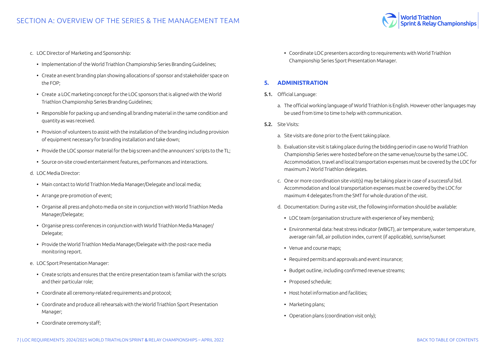

- <span id="page-6-0"></span>c. LOC Director of Marketing and Sponsorship:
	- Implementation of the World Triathlon Championship Series Branding Guidelines;
	- Create an event branding plan showing allocations of sponsor and stakeholder space on the FOP;
	- Create a LOC marketing concept for the LOC sponsors that is aligned with the World Triathlon Championship Series Branding Guidelines;
	- Responsible for packing up and sending all branding material in the same condition and quantity as was received.
	- Provision of volunteers to assist with the installation of the branding including provision of equipment necessary for branding installation and take down;
	- Provide the LOC sponsor material for the big screen and the announcers' scripts to the TL;
	- Source on-site crowd entertainment features, performances and interactions.
- d. LOC Media Director:
	- Main contact to World Triathlon Media Manager/Delegate and local media;
	- Arrange pre-promotion of event;
	- Organise all press and photo media on site in conjunction with World Triathlon Media Manager/Delegate;
	- Organise press conferences in conjunction with World Triathlon Media Manager/ Delegate;
	- Provide the World Triathlon Media Manager/Delegate with the post-race media monitoring report.
- e. LOC Sport Presentation Manager:
	- Create scripts and ensures that the entire presentation team is familiar with the scripts and their particular role;
	- Coordinate all ceremony-related requirements and protocol;
	- Coordinate and produce all rehearsals with the World Triathlon Sport Presentation Manager;
	- Coordinate ceremony staff;

• Coordinate LOC presenters according to requirements with World Triathlon Championship Series Sport Presentation Manager.

#### **5. ADMINISTRATION**

- 5.1. Official Language:
	- a. The official working language of World Triathlon is English. However other languages may be used from time to time to help with communication.
- 5.2. Site Visits:
	- a. Site visits are done prior to the Event taking place.
	- b. Evaluation site visit is taking place during the bidding period in case no World Triathlon Championship Series were hosted before on the same venue/course by the same LOC. Accommodation, travel and local transportation expenses must be covered by the LOC for maximum 2 World Triathlon delegates.
	- c. One or more coordination site visit(s) may be taking place in case of a successful bid. Accommodation and local transportation expenses must be covered by the LOC for maximum 4 delegates from the SMT for whole duration of the visit.
	- d. Documentation: During a site visit, the following information should be available:
		- LOC team (organisation structure with experience of key members);
		- Environmental data: heat stress indicator (WBGT), air temperature, water temperature, average rain fall, air pollution index, current (if applicable), sunrise/sunset
		- Venue and course maps;
		- Required permits and approvals and event insurance;
		- Budget outline, including confirmed revenue streams;
		- Proposed schedule;
		- Host hotel information and facilities;
		- Marketing plans;
		- Operation plans (coordination visit only);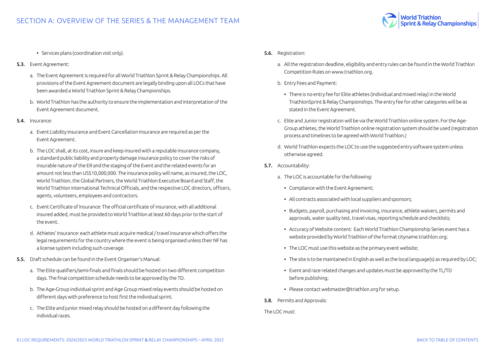

- Services plans (coordination visit only).
- 5.3. Event Agreement:
	- a. The Event Agreement is required for all World Triathlon Sprint & Relay Championships. All provisions of the Event Agreement document are legally binding upon all LOCs that have been awarded a World Triathlon Sprint & Relay Championships.
	- b. World Triathlon has the authority to ensure the implementation and interpretation of the Event Agreement document.
- 5.4. Insurance:
	- a. Event Liability Insurance and Event Cancellation Insurance are required as per the Event Agreement.
	- b. The LOC shall, at its cost, insure and keep insured with a reputable insurance company, a standard public liability and property damage insurance policy to cover the risks of insurable nature of the ER and the staging of the Event and the related events for an amount not less than US\$10,000,000. The insurance policy will name, as insured, the LOC, World Triathlon, the Global Partners, the World Triathlon Executive Board and Staff, the World Triathlon International Technical Officials, and the respective LOC directors, officers, agents, volunteers, employees and contractors.
	- c. Event Certificate of Insurance: The official certificate of insurance, with all additional insured added, must be provided to World Triathlon at least 60 days prior to the start of the event.
	- d. Athletes' Insurance: each athlete must acquire medical / travel insurance which offers the legal requirements for the country where the event is being organised unless their NF has a license system including such coverage.
- 5.5. Draft schedule can be found in the Event Organiser's Manual:
	- a. The Elite qualifiers/semi-finals and finals should be hosted on two different competition days. The final competition schedule needs to be approved by the TD.
	- b. The Age-Group individual sprint and Age Group mixed relay events should be hosted on different days with preference to host first the individual sprint.
	- c. The Elite and junior mixed relay should be hosted on a different day following the individual races.
- 5.6. Registration:
	- a. All the registration deadline, eligibility and entry rules can be found in the World Triathlon Competition Rules on www.triathlon.org.
	- b. Entry Fees and Payment:
		- There is no entry fee for Elite athletes (individual and mixed relay) in the World TriathlonSprint & Relay Championships. The entry fee for other categories will be as stated in the Event Agreement.
	- c. Elite and Junior registration will be via the World Triathlon online system. For the Age-Group athletes, the World Triathlon online registration system should be used (registration process and timelines to be agreed with World Triathlon.)
	- d. World Triathlon expects the LOC to use the suggested entry software system unless otherwise agreed.
- 5.7. Accountability:
	- a. The LOC is accountable for the following:
		- Compliance with the Event Agreement;
		- All contracts associated with local suppliers and sponsors;
		- Budgets, payroll, purchasing and invoicing, insurance, athlete waivers, permits and approvals, water quality test, travel visas, reporting schedule and checklists;
		- Accuracy of Website content: Each World Triathlon Championship Series event has a website provided by World Triathlon of the format cityname.triathlon.org;
		- The LOC must use this website as the primary event website;
		- The site is to be maintained in English as well as the local language(s) as required by LOC;
		- Event and race related changes and updates must be approved by the TL/TD before publishing;
		- Please contact webmaster@triathlon.org for setup.
- 5.8. Permits and Approvals:

The LOC must: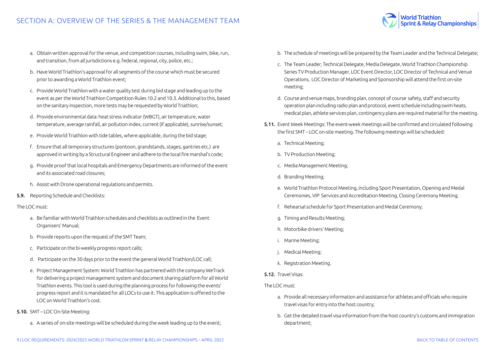- a. Obtain written approval for the venue, and competition courses, including swim, bike, run, and transition, from all jurisdictions e.g. federal, regional, city, police, etc.;
- b. Have World Triathlon's approval for all segments of the course which must be secured prior to awarding a World Triathlon event;
- c. Provide World Triathlon with a water quality test during bid stage and leading up to the event as per the World Triathlon Competition Rules 10.2 and 10.3. Additional to this, based on the sanitary inspection, more tests may be requested by World Triathlon;
- d. Provide environmental data: heat stress indicator (WBGT), air temperature, water temperature, average rainfall, air pollution index, current (if applicable), sunrise/sunset;
- e. Provide World Triathlon with tide tables, where applicable, during the bid stage;
- f. Ensure that all temporary structures (pontoon, grandstands, stages, gantries etc.) are approved in writing by a Structural Engineer and adhere to the local fire marshal's code;
- g. Provide proof that local hospitals and Emergency Departments are informed of the event and its associated road closures;
- h. Assist with Drone operational regulations and permits.
- 5.9. Reporting Schedule and Checklists:

#### The LOC must:

- a. Be familiar with World Triathlon schedules and checklists as outlined in the Event Organisers' Manual;
- b. Provide reports upon the request of the SMT Team;
- c. Participate on the bi-weekly progress report calls;
- d. Participate on the 30 days prior to the event the general World Triathlon/LOC call;
- e. Project Management System: World Triathlon has partnered with the company WeTrack for delivering a project management system and document sharing platform for all World Triathlon events. This tool is used during the planning process for following the events' progress report and it is mandated for all LOCs to use it. This application is offered to the LOC on World Triathlon's cost.
- 5.10. SMT LOC On-Site Meeting:
	- a. A series of on-site meetings will be scheduled during the week leading up to the event;

b. The schedule of meetings will be prepared by the Team Leader and the Technical Delegate;

World Triathlon<br>Sprint & Relay Championships

- c. The Team Leader, Technical Delegate, Media Delegate, World Triathlon Championship Series TV Production Manager, LOC Event Director, LOC Director of Technical and Venue Operations, LOC Director of Marketing and Sponsorship will attend the first on-site meeting;
- d. Course and venue maps, branding plan, concept of course safety, staff and security operation plan including radio plan and protocol, event schedule including swim heats, medical plan, athlete services plan, contingency plans are required material for the meeting.
- 5.11. Event Week Meetings: The event-week meetings will be confirmed and circulated following the first SMT – LOC on-site meeting. The following meetings will be scheduled:
	- a. Technical Meeting;
	- b. TV Production Meeting;
	- c. Media Management Meeting;
	- d. Branding Meeting;
	- e. World Triathlon Protocol Meeting, including Sport Presentation, Opening and Medal Ceremonies, VIP Services and Accreditation Meeting, Closing Ceremony Meeting;
	- f. Rehearsal schedule for Sport Presentation and Medal Ceremony;
	- g. Timing and Results Meeting;
	- h. Motorbike drivers' Meeting;
	- i. Marine Meeting;
	- j. Medical Meeting;
	- k. Registration Meeting.
- 5.12. Travel Visas:

The LOC must:

- a. Provide all necessary information and assistance for athletes and officials who require travel visas for entry into the host country;
- b. Get the detailed travel visa information from the host country's customs and immigration department;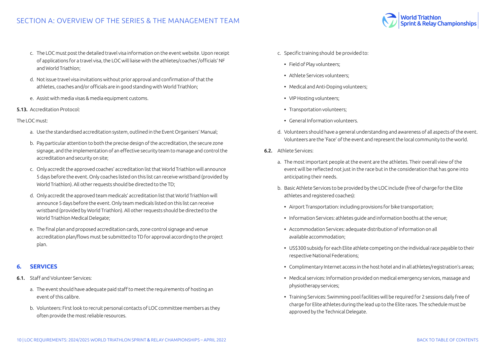- c. The LOC must post the detailed travel visa information on the event website. Upon receipt of applications for a travel visa, the LOC will liaise with the athletes/coaches'/officials' NF and World Triathlon;
- d. Not issue travel visa invitations without prior approval and confirmation of that the athletes, coaches and/or officials are in good standing with World Triathlon;
- e. Assist with media visas & media equipment customs.
- 5.13. Accreditation Protocol:
- The LOC must:
	- a. Use the standardised accreditation system, outlined in the Event Organisers' Manual;
	- b. Pay particular attention to both the precise design of the accreditation, the secure zone signage, and the implementation of an effective security team to manage and control the accreditation and security on site;
	- c. Only accredit the approved coaches' accreditation list that World Triathlon will announce 5 days before the event. Only coaches listed on this list can receive wristband (provided by World Triathlon). All other requests should be directed to the TD;
	- d. Only accredit the approved team medicals' accreditation list that World Triathlon will announce 5 days before the event. Only team medicals listed on this list can receive wristband (provided by World Triathlon). All other requests should be directed to the World Triathlon Medical Delegate;
	- e. The final plan and proposed accreditation cards, zone control signage and venue accreditation plan/flows must be submitted to TD for approval according to the project plan.

#### **6. SERVICES**

- 6.1. Staff and Volunteer Services:
	- a. The event should have adequate paid staff to meet the requirements of hosting an event of this calibre.
	- b. Volunteers: First look to recruit personal contacts of LOC committee members as they often provide the most reliable resources.
- c. Specific training should be provided to:
	- Field of Play volunteers;
	- Athlete Services volunteers;
	- Medical and Anti-Doping volunteers;
	- VIP Hosting volunteers;
	- Transportation volunteers;
	- General Information volunteers.
- d. Volunteers should have a general understanding and awareness of all aspects of the event. Volunteers are the 'Face' of the event and represent the local community to the world.

**Vorld Triathlon** 

Sprint & Relay Championships

- 6.2. Athlete Services:
	- a. The most important people at the event are the athletes. Their overall view of the event will be reflected not just in the race but in the consideration that has gone into anticipating their needs.
	- b. Basic Athlete Services to be provided by the LOC include (free of charge for the Elite athletes and registered coaches):
		- Airport Transportation: including provisions for bike transportation;
		- Information Services: athletes guide and information booths at the venue;
		- Accommodation Services: adequate distribution of information on all available accommodation;
		- US\$300 subsidy for each Elite athlete competing on the individual race payable to their respective National Federations;
		- Complimentary Internet access in the host hotel and in all athletes/registration's areas;
		- Medical services: Information provided on medical emergency services, massage and physiotherapy services;
		- Training Services: Swimming pool facilities will be required for 2 sessions daily free of charge for Elite athletes during the lead up to the Elite races. The schedule must be approved by the Technical Delegate.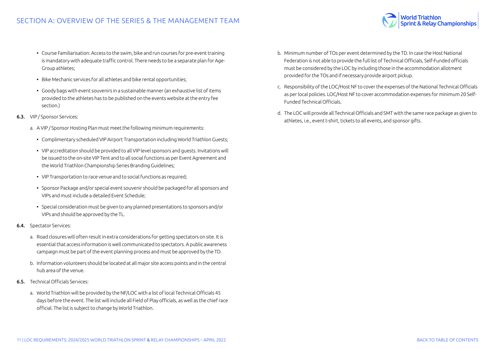<span id="page-10-0"></span>

- Bike Mechanic services for all athletes and bike rental opportunities;
- Goody bags with event souvenirs in a sustainable manner (an exhaustive list of items provided to the athletes has to be published on the events website at the entry fee section.)
- 6.3. VIP / Sponsor Services:
	- a. A VIP / Sponsor Hosting Plan must meet the following minimum requirements:
		- Complimentary scheduled VIP Airport Transportation including World Triathlon Guests;
		- VIP accreditation should be provided to all VIP level sponsors and guests. Invitations will be issued to the on-site VIP Tent and to all social functions as per Event Agreement and the World Triathlon Championship Series Branding Guidelines;
		- VIP Transportation to race venue and to social functions as required;
		- Sponsor Package and/or special event souvenir should be packaged for all sponsors and VIPs and must include a detailed Event Schedule;
		- Special consideration must be given to any planned presentations to sponsors and/or VIPs and should be approved by the TL.
- 6.4. Spectator Services:
	- a. Road closures will often result in extra considerations for getting spectators on site. It is essential that access information is well communicated to spectators. A public awareness campaign must be part of the event planning process and must be approved by the TD.
	- b. Information volunteers should be located at all major site access points and in the central hub area of the venue.
- 6.5. Technical Officials Services:
	- a. World Triathlon will be provided by the NF/LOC with a list of local Technical Officials 45 days before the event. The list will include all Field of Play officials, as well as the chief race official. The list is subject to change by World Triathlon.
- b. Minimum number of TOs per event determined by the TD. In case the Host National Federation is not able to provide the full list of Technical Officials, Self-Funded officials must be considered by the LOC by including those in the accommodation allotment provided for the TOs and if necessary provide airport pickup.
- c. Responsibility of the LOC/Host NF to cover the expenses of the National Technical Officials as per local policies. LOC/Host NF to cover accommodation expenses for minimum 20 Self-Funded Technical Officials.
- d. The LOC will provide all Technical Officials and SMT with the same race package as given to athletes, i.e., event t-shirt, tickets to all events, and sponsor gifts.

World Triathlon<br>Sprint & Relay Championships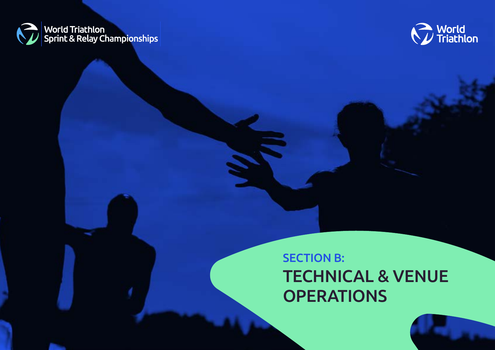<span id="page-11-0"></span>



# SECTION B: TECHNICAL & VENUE **OPERATIONS**

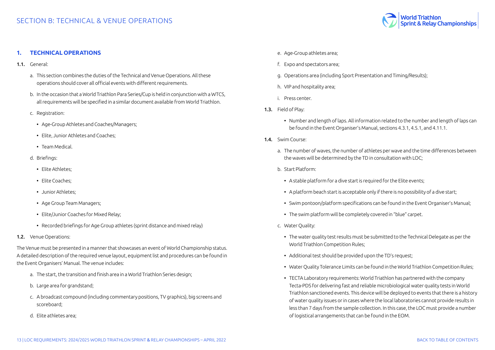

#### <span id="page-12-0"></span>**1. TECHNICAL OPERATIONS**

- 1.1. General:
	- a. This section combines the duties of the Technical and Venue Operations. All these operations should cover all official events with different requirements.
	- b. In the occasion that a World Triathlon Para Series/Cup is held in conjunction with a WTCS, all requirements will be specified in a similar document available from World Triathlon.
	- c. Registration:
		- Age-Group Athletes and Coaches/Managers;
		- Elite, Junior Athletes and Coaches;
		- Team Medical.
	- d. Briefings:
		- Elite Athletes;
		- Elite Coaches;
		- Junior Athletes;
		- Age Group Team Managers;
		- Elite/Junior Coaches for Mixed Relay;
		- Recorded briefings for Age Group athletes (sprint distance and mixed relay)
- 1.2. Venue Operations:

The Venue must be presented in a manner that showcases an event of World Championship status. A detailed description of the required venue layout, equipment list and procedures can be found in the Event Organisers' Manual. The venue includes:

- a. The start, the transition and finish area in a World Triathlon Series design;
- b. Large area for grandstand;
- c. A broadcast compound (including commentary positions, TV graphics), big screens and scoreboard;
- d. Elite athletes area;
- e. Age-Group athletes area;
- f. Expo and spectators area;
- g. Operations area (including Sport Presentation and Timing/Results);
- h. VIP and hospitality area;
- i. Press center.
- 1.3. Field of Play:
	- Number and length of laps. All information related to the number and length of laps can be found in the Event Organiser's Manual, sections 4.3.1, 4.5.1, and 4.11.1.
- 14 Swim Course:
	- a. The number of waves, the number of athletes per wave and the time differences between the waves will be determined by the TD in consultation with LOC;
	- b. Start Platform:
		- A stable platform for a dive start is required for the Elite events:
		- A platform beach start is acceptable only if there is no possibility of a dive start;
	- Swim pontoon/platform specifications can be found in the Event Organiser's Manual;
	- The swim platform will be completely covered in "blue" carpet.
	- c. Water Quality:
		- The water quality test results must be submitted to the Technical Delegate as per the World Triathlon Competition Rules;
		- Additional test should be provided upon the TD's request;
		- Water Quality Tolerance Limits can be found in the World Triathlon Competition Rules;
		- TECTA Laboratory requirements: World Triathlon has partnered with the company Tecta-PDS for delivering fast and reliable microbiological water quality tests in World Triathlon sanctioned events. This device will be deployed to events that there is a history of water quality issues or in cases where the local laboratories cannot provide results in less than 7 days from the sample collection. In this case, the LOC must provide a number of logistical arrangements that can be found in the EOM.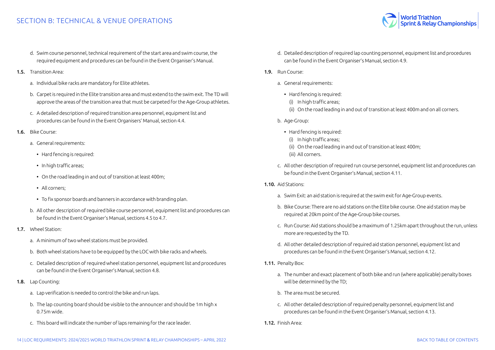#### SECTION B: TECHNICAL & VENUE OPERATIONS

- d. Swim course personnel, technical requirement of the start area and swim course, the required equipment and procedures can be found in the Event Organiser's Manual.
- 1.5. Transition Area:
	- a. Individual bike racks are mandatory for Elite athletes.
	- b. Carpet is required in the Elite transition area and must extend to the swim exit. The TD will approve the areas of the transition area that must be carpeted for the Age-Group athletes.
	- c. A detailed description of required transition area personnel, equipment list and procedures can be found in the Event Organisers' Manual, section 4.4.
- 1.6. Bike Course:
	- a. General requirements:
		- Hard fencing is required:
		- In high traffic areas;
		- On the road leading in and out of transition at least 400m;
		- All corners;
		- To fix sponsor boards and banners in accordance with branding plan.
	- b. All other description of required bike course personnel, equipment list and procedures can be found in the Event Organiser's Manual, sections 4.5 to 4.7.
- 1.7. Wheel Station:
	- a. A minimum of two wheel stations must be provided.
	- b. Both wheel stations have to be equipped by the LOC with bike racks and wheels.
	- c. Detailed description of required wheel station personnel, equipment list and procedures can be found in the Event Organiser's Manual, section 4.8.
- 1.8. Lap Counting:
	- a. Lap verification is needed to control the bike and run laps.
	- b. The lap counting board should be visible to the announcer and should be 1m high x 0.75m wide.
	- c. This board will indicate the number of laps remaining for the race leader.
- d. Detailed description of required lap counting personnel, equipment list and procedures can be found in the Event Organiser's Manual, section 4.9.
- 1.9. Run Course:
	- a. General requirements:
		- Hard fencing is required:
			- (i) In high traffic areas;
		- (ii) On the road leading in and out of transition at least 400m and on all corners.
	- b. Age-Group:
		- Hard fencing is required:
			- (i) In high traffic areas;
			- (ii) On the road leading in and out of transition at least 400m;
		- (iii) All corners.
	- c. All other description of required run course personnel, equipment list and procedures can be found in the Event Organiser's Manual, section 4.11.
- 1.10. Aid Stations:
	- a. Swim Exit: an aid station is required at the swim exit for Age-Group events.
	- b. Bike Course: There are no aid stations on the Elite bike course. One aid station may be required at 20km point of the Age-Group bike courses.
	- c. Run Course: Aid stations should be a maximum of 1.25km apart throughout the run, unless more are requested by the TD.
	- d. All other detailed description of required aid station personnel, equipment list and procedures can be found in the Event Organiser's Manual, section 4.12.
- 1.11. Penalty Box:
	- a. The number and exact placement of both bike and run (where applicable) penalty boxes will be determined by the TD;
	- b. The area must be secured.
	- c. All other detailed description of required penalty personnel, equipment list and procedures can be found in the Event Organiser's Manual, section 4.13.
- 1.12. Finish Area:

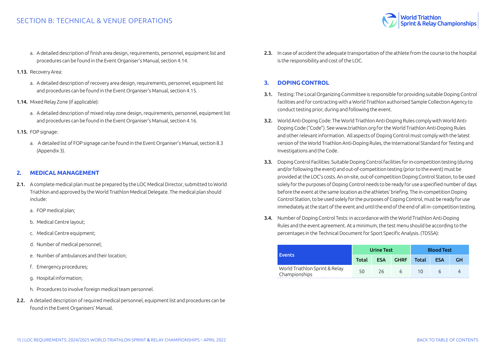#### <span id="page-14-0"></span>SECTION B: TECHNICAL & VENUE OPERATIONS

World Triathlon<br>Sprint & Relay Championships

- a. A detailed description of finish area design, requirements, personnel, equipment list and procedures can be found in the Event Organiser's Manual, section 4.14.
- 1.13. Recovery Area:
	- a. A detailed description of recovery area design, requirements, personnel, equipment list and procedures can be found in the Event Organiser's Manual, section 4.15.
- 1.14. Mixed Relay Zone (if applicable):
	- a. A detailed description of mixed relay zone design, requirements, personnel, equipment list and procedures can be found in the Event Organiser's Manual, section 4.16.
- 1.15. FOP signage:
	- a. A detailed list of FOP signage can be found in the Event Organiser's Manual, section 8.3 (Appendix 3).

#### **2. MEDICAL MANAGEMENT**

- 2.1. A complete medical plan must be prepared by the LOC Medical Director, submitted to World Triathlon and approved by the World Triathlon Medical Delegate. The medical plan should include:
	- a. FOP medical plan;
	- b. Medical Centre layout;
	- c. Medical Centre equipment;
	- d. Number of medical personnel;
	- e. Number of ambulances and their location;
	- f. Emergency procedures;
	- g. Hospital information;
	- h. Procedures to involve foreign medical team personnel.
- 2.2. A detailed description of required medical personnel, equipment list and procedures can be found in the Event Organisers' Manual.

2.3. In case of accident the adequate transportation of the athlete from the course to the hospital is the responsibility and cost of the LOC.

#### **3. DOPING CONTROL**

- 3.1. Testing: The Local Organizing Committee is responsible for providing suitable Doping Control facilities and for contracting with a World Triathlon authorised Sample Collection Agency to conduct testing prior, during and following the event.
- 3.2. World Anti-Doping Code: The World Triathlon Anti-Doping Rules comply with World Anti-Doping Code ("Code"). See www.triathlon.org for the World Triathlon Anti-Doping Rules and other relevant information. All aspects of Doping Control must comply with the latest version of the World Triathlon Anti-Doping Rules, the International Standard for Testing and Investigations and the Code.
- 3.3. Doping Control Facilities: Suitable Doping Control facilities for in-competition testing (during and/or following the event) and out-of-competition testing (prior to the event) must be provided at the LOC's costs. An on-site, out-of-competition Doping Control Station, to be used solely for the purposes of Doping Control needs to be ready for use a specified number of days before the event at the same location as the athletes' briefing. The in-competition Doping Control Station, to be used solely for the purposes of Coping Control, must be ready for use immediately at the start of the event and until the end of the end of all in- competition testing.
- 3.4. Number of Doping Control Tests: in accordance with the World Triathlon Anti-Doping Rules and the event agreement. At a minimum, the test menu should be according to the percentages in the Technical Document for Sport Specific Analysis. (TDSSA):

|                                                 | <b>Urine Test</b> |            |             | <b>Blood Test</b> |            |    |
|-------------------------------------------------|-------------------|------------|-------------|-------------------|------------|----|
| <b>Events</b>                                   | Total             | <b>ESA</b> | <b>GHRF</b> | Total             | <b>ESA</b> | GН |
| World Triathlon Sprint & Relay<br>Championships | 50                | 26         | 6           | 10                |            |    |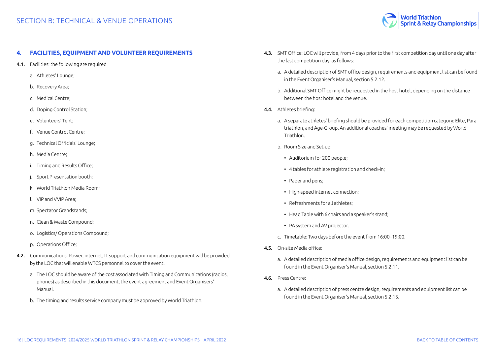

#### <span id="page-15-0"></span>**4. FACILITIES, EQUIPMENT AND VOLUNTEER REQUIREMENTS**

- 4.1. Facilities: the following are required
	- a. Athletes' Lounge;
	- b. Recovery Area;
	- c. Medical Centre;
	- d. Doping Control Station;
	- e. Volunteers' Tent;
	- f. Venue Control Centre;
	- g. Technical Officials' Lounge;
	- h. Media Centre;
	- i. Timing and Results Office;
	- Sport Presentation booth;
	- k. World Triathlon Media Room;
	- l. VIP and VVIP Area;
	- m. Spectator Grandstands;
	- n. Clean & Waste Compound;
	- o. Logistics/ Operations Compound;
	- p. Operations Office;
- 4.2. Communications: Power, internet, IT support and communication equipment will be provided by the LOC that will enable WTCS personnel to cover the event.
	- a. The LOC should be aware of the cost associated with Timing and Communications (radios, phones) as described in this document, the event agreement and Event Organisers' Manual.
	- b. The timing and results service company must be approved by World Triathlon.
- 4.3. SMT Office: LOC will provide, from 4 days prior to the first competition day until one day after the last competition day, as follows:
	- a. A detailed description of SMT office design, requirements and equipment list can be found in the Event Organiser's Manual, section 5.2.12.
	- b. Additional SMT Office might be requested in the host hotel, depending on the distance between the host hotel and the venue.
- 4.4. Athletes briefing:
	- a. A separate athletes' briefing should be provided for each competition category: Elite, Para triathlon, and Age-Group. An additional coaches' meeting may be requested by World Triathlon.
	- b. Room Size and Set-up:
		- Auditorium for 200 people;
		- 4 tables for athlete registration and check-in;
	- Paper and pens;
	- High-speed internet connection;
	- Refreshments for all athletes;
	- Head Table with 6 chairs and a speaker's stand;
	- PA system and AV projector.
	- c. Timetable: Two days before the event from 16:00–19:00.
- 4.5. On-site Media office:
	- a. A detailed description of media office design, requirements and equipment list can be found in the Event Organiser's Manual, section 5.2.11.
- 4.6. Press Centre:
	- a. A detailed description of press centre design, requirements and equipment list can be found in the Event Organiser's Manual, section 5.2.15.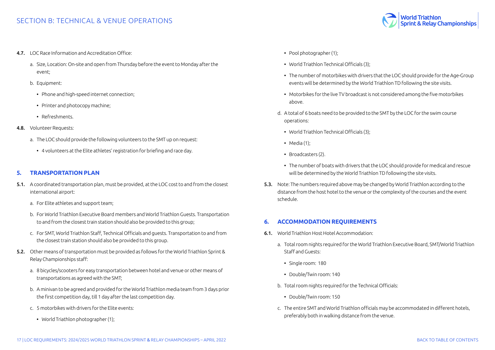- <span id="page-16-0"></span>4.7. LOC Race Information and Accreditation Office:
	- a. Size, Location: On-site and open from Thursday before the event to Monday after the event;
	- b. Equipment:
		- Phone and high-speed internet connection;
		- Printer and photocopy machine;
		- Refreshments.
- 4.8. Volunteer Requests:
	- a. The LOC should provide the following volunteers to the SMT up on request:
		- 4 volunteers at the Elite athletes' registration for briefing and race day.

#### **5. TRANSPORTATION PLAN**

- 5.1. A coordinated transportation plan, must be provided, at the LOC cost to and from the closest international airport:
	- a. For Elite athletes and support team;
	- b. For World Triathlon Executive Board members and World Triathlon Guests. Transportation to and from the closest train station should also be provided to this group;
	- c. For SMT, World Triathlon Staff, Technical Officials and guests. Transportation to and from the closest train station should also be provided to this group.
- 5.2. Other means of transportation must be provided as follows for the World Triathlon Sprint & Relay Championships staff:
	- a. 8 bicycles/scooters for easy transportation between hotel and venue or other means of transportations as agreed with the SMT;
	- b. A minivan to be agreed and provided for the World Triathlon media team from 3 days prior the first competition day, till 1 day after the last competition day.
	- c. 5 motorbikes with drivers for the Elite events:
		- World Triathlon photographer (1);
- Pool photographer (1);
- World Triathlon Technical Officials (3);
- The number of motorbikes with drivers that the LOC should provide for the Age-Group events will be determined by the World Triathlon TD following the site visits.
- Motorbikes for the live TV broadcast is not considered among the five motorbikes above.
- d. A total of 6 boats need to be provided to the SMT by the LOC for the swim course operations:
	- World Triathlon Technical Officials (3);
	- Media (1);
	- Broadcasters (2).
	- The number of boats with drivers that the LOC should provide for medical and rescue will be determined by the World Triathlon TD following the site visits.
- 5.3. Note: The numbers required above may be changed by World Triathlon according to the distance from the host hotel to the venue or the complexity of the courses and the event schedule.

#### **6. ACCOMMODATION REQUIREMENTS**

- 6.1. World Triathlon Host Hotel Accommodation:
	- a. Total room nights required for the World Triathlon Executive Board, SMT/World Triathlon Staff and Guests:
		- Single room: 180
		- Double/Twin room: 140
	- b. Total room nights required for the Technical Officials:
		- Double/Twin room: 150
	- c. The entire SMT and World Triathlon officials may be accommodated in different hotels, preferably both in walking distance from the venue.

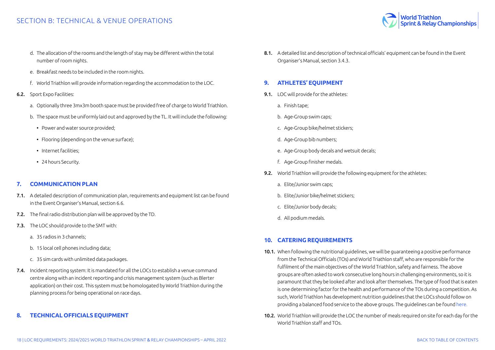

- <span id="page-17-0"></span>d. The allocation of the rooms and the length of stay may be different within the total number of room nights.
- e. Breakfast needs to be included in the room nights.
- f. World Triathlon will provide information regarding the accommodation to the LOC.
- 6.2. Sport Expo Facilities:
	- a. Optionally three 3mx3m booth space must be provided free of charge to World Triathlon.
	- b. The space must be uniformly laid out and approved by the TL. It will include the following:
		- Power and water source provided;
		- Flooring (depending on the venue surface);
		- Internet facilities;
		- 24 hours Security.

#### **7. COMMUNICATION PLAN**

- 7.1. A detailed description of communication plan, requirements and equipment list can be found in the Event Organiser's Manual, section 6.6.
- 7.2. The final radio distribution plan will be approved by the TD.
- 7.3. The LOC should provide to the SMT with:
	- a. 35 radios in 3 channels;
	- b. 15 local cell phones including data;
	- c. 35 sim cards with unlimited data packages.
- 7.4. Incident reporting system: It is mandated for all the LOCs to establish a venue command centre along with an incident reporting and crisis management system (such as Blerter application) on their cost. This system must be homologated by World Triathlon during the planning process for being operational on race days.

#### **8. TECHNICAL OFFICIALS EQUIPMENT**

8.1. A detailed list and description of technical officials' equipment can be found in the Event Organiser's Manual, section 3.4.3.

#### **9. ATHLETES' EQUIPMENT**

- 9.1. LOC will provide for the athletes:
	- a. Finish tape;
	- b. Age-Group swim caps;
	- c. Age-Group bike/helmet stickers;
	- d. Age-Group bib numbers;
	- e. Age-Group body decals and wetsuit decals;
	- f. Age-Group finisher medals.
- 9.2. World Triathlon will provide the following equipment for the athletes:
	- a. Elite/Junior swim caps;
	- b. Elite/Junior bike/helmet stickers;
	- c. Elite/Junior body decals;
	- d. All podium medals.

#### **10. CATERING REQUIREMENTS**

- 10.1. When following the nutritional guidelines, we will be guaranteeing a positive performance from the Technical Officials (TOs) and World Triathlon staff, who are responsible for the fulfilment of the main objectives of the World Triathlon, safety and fairness. The above groups are often asked to work consecutive long hours in challenging environments, so it is paramount that they be looked after and look after themselves. The type of food that is eaten is one determining factor for the health and performance of the TOs during a competition. As such, World Triathlon has development nutrition guidelines that the LOCs should follow on providing a balanced food service to the above groups. The guidelines can be found [here](https://www.triathlon.org/uploads/docs/TO_Nutrition_v3.pdf
).
- 10.2. World Triathlon will provide the LOC the number of meals required on site for each day for the World Triathlon staff and TOs.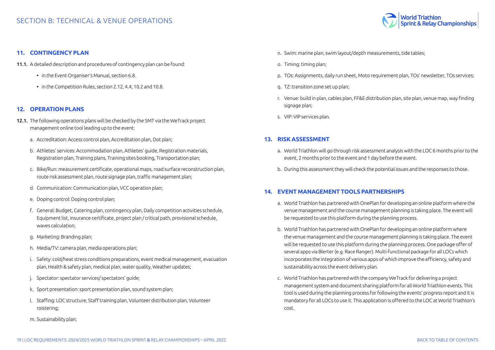

#### <span id="page-18-0"></span>**11. CONTINGENCY PLAN**

- 11.1. A detailed description and procedures of contingency plan can be found:
	- in the Event Organiser's Manual, section 6.8.
	- in the Competition Rules, section 2.12, 4.4, 10.2 and 10.8.

#### **12. OPERATION PLANS**

- 12.1. The following operations plans will be checked by the SMT via the WeTrack project management online tool leading up to the event:
	- a. Accreditation: Access control plan, Accreditation plan, Dot plan;
	- b. Athletes' services: Accommodation plan, Athletes' guide, Registration materials, Registration plan, Training plans, Training sites booking, Transportation plan;
	- c. Bike/Run: measurement certificate, operational maps, road surface reconstruction plan, route risk assessment plan, route signage plan, traffic management plan;
	- d. Communication: Communication plan, VCC operation plan;
	- e. Doping control: Doping control plan;
	- f. General: Budget, Catering plan, contingency plan, Daily competition activities schedule, Equipment list, insurance certificate, project plan / critical path, provisional schedule, waves calculation;
	- g. Marketing: Branding plan;
	- h. Media/TV: camera plan, media operations plan;
	- i. Safety: cold/heat stress conditions preparations, event medical management, evacuation plan, Health & safety plan, medical plan, water quality, Weather updates;
	- j. Spectator: spectator services/ spectators' guide;
	- k. Sport presentation: sport presentation plan, sound system plan;
	- l. Staffing: LOC structure, Staff training plan, Volunteer distribution plan, Volunteer roistering;
	- m. Sustainability plan;
- n. Swim: marine plan, swim layout/depth measurements, tide tables;
- o. Timing: timing plan;
- p. TOs: Assignments, daily run sheet, Moto requirement plan, TOs' newsletter, TOs services;
- q. TZ: transition zone set up plan;
- r. Venue: build in plan, cables plan, FF&E distribution plan, site plan, venue map, way finding signage plan;
- s. VIP: VIP services plan.

#### **13. RISK ASSESSMENT**

- a. World Triathlon will go through risk assessment analysis with the LOC 6 months prior to the event, 2 months prior to the event and 1 day before the event.
- b. During this assessment they will check the potential issues and the responses to those.

#### **14. EVENT MANAGEMENT TOOLS PARTNERSHIPS**

- a. World Triathlon has partnered with OnePlan for developing an online platform where the venue management and the course management planning is taking place. The event will be requested to use this platform during the planning process.
- b. World Triathlon has partnered with OnePlan for developing an online platform where the venue management and the course management planning is taking place. The event will be requested to use this platform during the planning process. One package offer of several apps via Blerter (e.g. Race Ranger). Multi-functional package for all LOCs which incorporates the integration of various apps of which improve the efficiency, safety and sustainability across the event delivery plan.
- c. World Triathlon has partnered with the company WeTrack for delivering a project management system and document sharing platform for all World Triathlon events. This tool is used during the planning process for following the events' progress report and it is mandatory for all LOCs to use it. This application is offered to the LOC at World Triathlon's cost.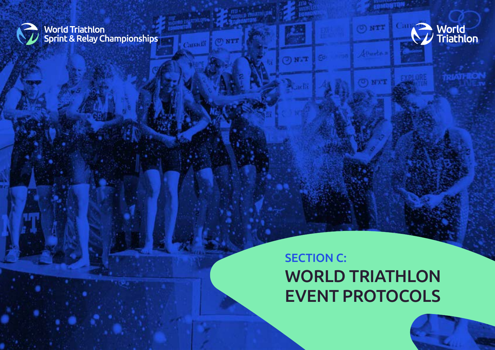<span id="page-19-0"></span>

**| World Triathlon<br>| Sprint & Relay Championships |** 

 $(0)$  NTT

 $T_{\rm eff}$ 

60

Canadi



**EBMUNTON** 

 $(0)$  N'X'T

# SECTION C: WORLD TRIATHLON EVENT PROTOCOLS

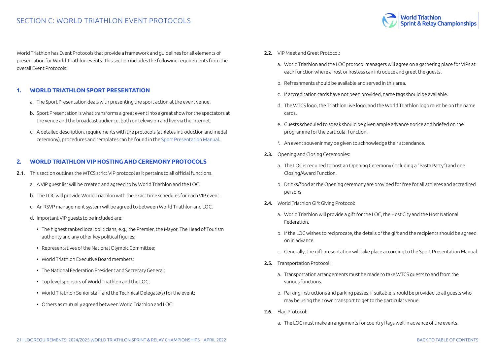

<span id="page-20-0"></span>World Triathlon has Event Protocols that provide a framework and guidelines for all elements of presentation for World Triathlon events. This section includes the following requirements from the overall Event Protocols:

#### **1. WORLD TRIATHLON SPORT PRESENTATION**

- a. The Sport Presentation deals with presenting the sport action at the event venue.
- b. Sport Presentation is what transforms a great event into a great show for the spectators at the venue and the broadcast audience, both on television and live via the internet.
- c. A detailed description, requirements with the protocols (athletes introduction and medal ceremony), procedures and templates can be found in the [Sport Presentation Manual](https://triathlon.org/about/downloads/category/event_organisers_manual).

#### **2. WORLD TRIATHLON VIP HOSTING AND CEREMONY PROTOCOLS**

- 2.1. This section outlines the WTCS strict VIP protocol as it pertains to all official functions.
	- a. A VIP guest list will be created and agreed to by World Triathlon and the LOC.
	- b. The LOC will provide World Triathlon with the exact time schedules for each VIP event.
	- c. An RSVP management system will be agreed to between World Triathlon and LOC.
	- d. Important VIP guests to be included are:
		- The highest ranked local politicians, e.g., the Premier, the Mayor, The Head of Tourism authority and any other key political figures;
		- Representatives of the National Olympic Committee;
		- World Triathlon Executive Board members;
		- The National Federation President and Secretary General;
		- Top level sponsors of World Triathlon and the LOC;
		- World Triathlon Senior staff and the Technical Delegate(s) for the event;
		- Others as mutually agreed between World Triathlon and LOC.
- 2.2. VIP Meet and Greet Protocol:
	- a. World Triathlon and the LOC protocol managers will agree on a gathering place for VIPs at each function where a host or hostess can introduce and greet the guests.
	- b. Refreshments should be available and served in this area.
	- c. If accreditation cards have not been provided, name tags should be available.
	- d. The WTCS logo, the TriathlonLive logo, and the World Triathlon logo must be on the name cards.
	- e. Guests scheduled to speak should be given ample advance notice and briefed on the programme for the particular function.
	- f. An event souvenir may be given to acknowledge their attendance.
- 2.3. Opening and Closing Ceremonies:
	- a. The LOC is required to host an Opening Ceremony (including a "Pasta Party") and one Closing/Award Function.
	- b. Drinks/food at the Opening ceremony are provided for free for all athletes and accredited persons
- 2.4. World Triathlon Gift Giving Protocol:
	- a. World Triathlon will provide a gift for the LOC, the Host City and the Host National Federation.
	- b. If the LOC wishes to reciprocate, the details of the gift and the recipients should be agreed on in advance.
	- c. Generally, the gift presentation will take place according to the Sport Presentation Manual.
- 2.5. Transportation Protocol:
	- a. Transportation arrangements must be made to take WTCS guests to and from the various functions.
	- b. Parking instructions and parking passes, if suitable, should be provided to all guests who may be using their own transport to get to the particular venue.
- 2.6. Flag Protocol:
	- a. The LOC must make arrangements for country flags well in advance of the events.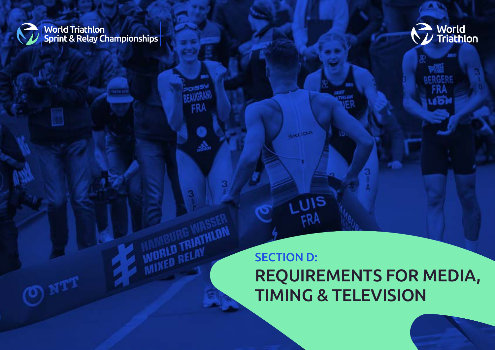<span id="page-21-0"></span>

**World Triathlon<br>Sprint & Relay Championships** 

**BAYOTH** 

. Sa

**WORLD TRIATHLON** 



# SECTION D: REQUIREMENTS FOR MEDIA, TIMING & TELEVISION

**GKLIDA** 

**LUIS** 

FRA

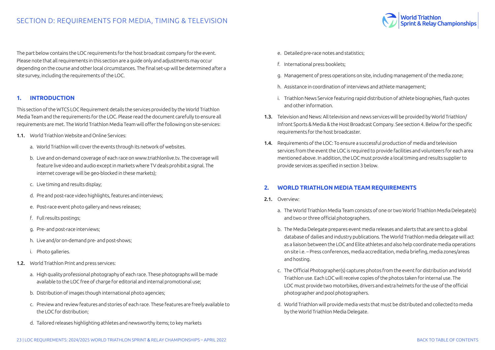<span id="page-22-0"></span>The part below contains the LOC requirements for the host broadcast company for the event. Please note that all requirements in this section are a guide only and adjustments may occur depending on the course and other local circumstances. The final set-up will be determined after a site survey, including the requirements of the LOC.

#### **1. INTRODUCTION**

This section of the WTCS LOC Requirement details the services provided by the World Triathlon Media Team and the requirements for the LOC. Please read the document carefully to ensure all requirements are met. The World Triathlon Media Team will offer the following on site-services:

- 1.1. World Triathlon Website and Online Services:
	- a. World Triathlon will cover the events through its network of websites.
	- b. Live and on-demand coverage of each race on www.triathlonlive.tv. The coverage will feature live video and audio except in markets where TV deals prohibit a signal. The internet coverage will be geo-blocked in these markets);
	- c. Live timing and results display;
	- d. Pre and post-race video highlights, features and interviews;
	- e. Post-race event photo gallery and news releases;
	- f. Full results postings;
	- g. Pre- and post-race interviews;
	- h. Live and/or on-demand pre- and post-shows;
	- i. Photo galleries.
- 1.2. World Triathlon Print and press services:
	- a. High quality professional photography of each race. These photographs will be made available to the LOC free of charge for editorial and internal promotional use;
	- b. Distribution of images though international photo agencies;
	- c. Preview and review features and stories of each race. These features are freely available to the LOC for distribution;
	- d. Tailored releases highlighting athletes and newsworthy items; to key markets
- e. Detailed pre-race notes and statistics;
- f. International press booklets;
- g. Management of press operations on site, including management of the media zone;

**Norld Triathlon** 

**Sprint & Relay Championships** 

- h. Assistance in coordination of interviews and athlete management;
- i. Triathlon News Service featuring rapid distribution of athlete biographies, flash quotes and other information.
- 1.3. Television and News: All television and news services will be provided by World Triathlon/ Infront Sports & Media & the Host Broadcast Company. See section 4. Below for the specific requirements for the host broadcaster.
- 1.4. Requirements of the LOC: To ensure a successful production of media and television services from the event the LOC is required to provide facilities and volunteers for each area mentioned above. In addition, the LOC must provide a local timing and results supplier to provide services as specified in section 3 below.

#### **2. WORLD TRIATHLON MEDIA TEAM REQUIREMENTS**

- 2.1. Overview:
	- a. The World Triathlon Media Team consists of one or two World Triathlon Media Delegate(s) and two or three official photographers.
	- b. The Media Delegate prepares event media releases and alerts that are sent to a global database of dailies and industry publications. The World Triathlon media delegate will act as a liaison between the LOC and Elite athletes and also help coordinate media operations on site i.e. – Press conferences, media accreditation, media briefing, media zones/areas and hosting.
	- c. The Official Photographer(s) captures photos from the event for distribution and World Triathlon use. Each LOC will receive copies of the photos taken for internal use. The LOC must provide two motorbikes, drivers and extra helmets for the use of the official photographer and pool photographers.
	- d. World Triathlon will provide media vests that must be distributed and collected to media by the World Triathlon Media Delegate.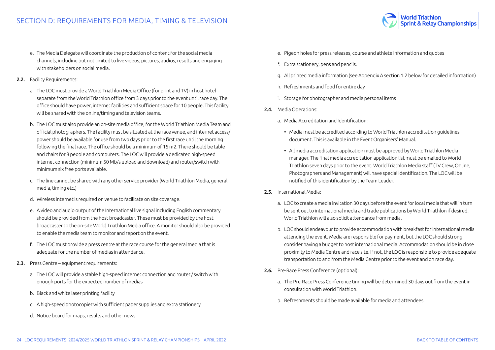- e. The Media Delegate will coordinate the production of content for the social media channels, including but not limited to live videos, pictures, audios, results and engaging with stakeholders on social media.
- 2.2. Facility Requirements:
	- a. The LOC must provide a World Triathlon Media Office (for print and TV) in host hotel separate from the World Triathlon office from 3 days prior to the event until race day. The office should have power, internet facilities and sufficient space for 10 people. This facility will be shared with the online/timing and television teams.
	- b. The LOC must also provide an on-site media office, for the World Triathlon Media Team and official photographers. The facility must be situated at the race venue, and internet access/ power should be available for use from two days prior to the first race until the morning following the final race. The office should be a minimum of 15 m2. There should be table and chairs for 8 people and computers. The LOC will provide a dedicated high-speed internet connection (minimum 50 Mb/s upload and download) and router/switch with minimum six free ports available.
	- c. The line cannot be shared with any other service provider (World Triathlon Media, general media, timing etc.)
	- d. Wireless internet is required on venue to facilitate on site coverage.
	- e. A video and audio output of the International live signal including English commentary should be provided from the host broadcaster. These must be provided by the host broadcaster to the on-site World Triathlon Media office. A monitor should also be provided to enable the media team to monitor and report on the event.
	- f. The LOC must provide a press centre at the race course for the general media that is adequate for the number of medias in attendance.
- 2.3. Press Centre equipment requirements:
	- a. The LOC will provide a stable high-speed internet connection and router / switch with enough ports for the expected number of medias
	- b. Black and white laser printing facility
	- c. A high-speed photocopier with sufficient paper supplies and extra stationery
	- d. Notice board for maps, results and other news
- e. Pigeon holes for press releases, course and athlete information and quotes
- f. Extra stationery, pens and pencils.
- g. All printed media information (see Appendix A section 1.2 below for detailed information)

**World Triathlon** 

**Sprint & Relay Championships** 

- h. Refreshments and food for entire day
- i. Storage for photographer and media personal items
- 2.4. Media Operations:
	- a. Media Accreditation and Identification:
		- Media must be accredited according to World Triathlon accreditation guidelines document. This is available in the Event Organisers' Manual.
		- All media accreditation application must be approved by World Triathlon Media manager. The final media accreditation application list must be emailed to World Triathlon seven days prior to the event. World Triathlon Media staff (TV Crew, Online, Photographers and Management) will have special identification. The LOC will be notified of this identification by the Team Leader.
- 2.5. International Media:
	- a. LOC to create a media invitation 30 days before the event for local media that will in turn be sent out to international media and trade publications by World Triathlon if desired. World Triathlon will also solicit attendance from media.
	- b. LOC should endeavour to provide accommodation with breakfast for international media attending the event. Media are responsible for payment, but the LOC should strong consider having a budget to host international media. Accommodation should be in close proximity to Media Centre and race site. If not, the LOC is responsible to provide adequate transportation to and from the Media Centre prior to the event and on race day.
- 2.6. Pre-Race Press Conference (optional):
	- a. The Pre-Race Press Conference timing will be determined 30 days out from the event in consultation with World Triathlon.
	- b. Refreshments should be made available for media and attendees.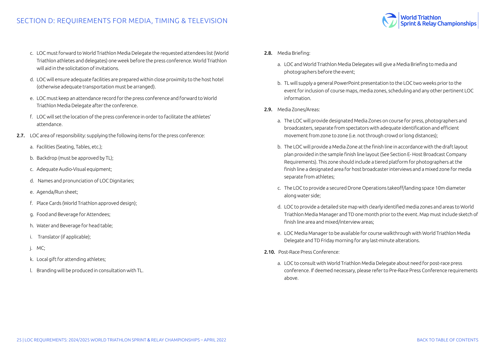- c. LOC must forward to World Triathlon Media Delegate the requested attendees list (World Triathlon athletes and delegates) one week before the press conference. World Triathlon will aid in the solicitation of invitations.
- d. LOC will ensure adequate facilities are prepared within close proximity to the host hotel (otherwise adequate transportation must be arranged).
- e. LOC must keep an attendance record for the press conference and forward to World Triathlon Media Delegate after the conference.
- f. LOC will set the location of the press conference in order to facilitate the athletes' attendance.
- 2.7. LOC area of responsibility: supplying the following items for the press conference:
	- a. Facilities (Seating, Tables, etc.);
	- b. Backdrop (must be approved by TL);
	- c. Adequate Audio-Visual equipment;
	- d. Names and pronunciation of LOC Dignitaries;
	- e. Agenda/Run sheet;
	- f. Place Cards (World Triathlon approved design);
	- g. Food and Beverage for Attendees;
	- h. Water and Beverage for head table;
	- i. Translator (if applicable);
	- j. MC;
	- k. Local gift for attending athletes;
	- l. Branding will be produced in consultation with TL.
- 2.8. Media Briefing:
	- a. LOC and World Triathlon Media Delegates will give a Media Briefing to media and photographers before the event;
	- b. TL will supply a general PowerPoint presentation to the LOC two weeks prior to the event for inclusion of course maps, media zones, scheduling and any other pertinent LOC information.

**Norld Triathlon** 

**Sprint & Relay Championships** 

- 2.9. Media Zones/Areas:
	- a. The LOC will provide designated Media Zones on course for press, photographers and broadcasters, separate from spectators with adequate identification and efficient movement from zone to zone (i.e. not through crowd or long distances);
	- b. The LOC will provide a Media Zone at the finish line in accordance with the draft layout plan provided in the sample finish line layout (See Section E- Host Broadcast Company Requirements). This zone should include a tiered platform for photographers at the finish line a designated area for host broadcaster interviews and a mixed zone for media separate from athletes;
	- c. The LOC to provide a secured Drone Operations takeoff/landing space 10m diameter along water side;
	- d. LOC to provide a detailed site map with clearly identified media zones and areas to World Triathlon Media Manager and TD one month prior to the event. Map must include sketch of finish line area and mixed/interview areas;
	- e. LOC Media Manager to be available for course walkthrough with World Triathlon Media Delegate and TD Friday morning for any last-minute alterations.
- 2.10. Post-Race Press Conference:
	- a. LOC to consult with World Triathlon Media Delegate about need for post-race press conference. If deemed necessary, please refer to Pre-Race Press Conference requirements above.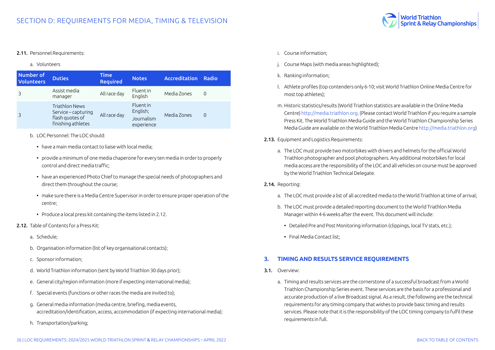<span id="page-25-0"></span>

#### a. Volunteers

| Number of<br><b>Volunteers</b> | <b>Duties</b>                                                                         | <b>Time</b><br><b>Required</b> | <b>Notes</b>                                            | <b>Accreditation</b> | Radio    |
|--------------------------------|---------------------------------------------------------------------------------------|--------------------------------|---------------------------------------------------------|----------------------|----------|
|                                | Assist media<br>manager                                                               | All race day                   | <b>Fluent</b> in<br>English                             | Media Zones          | $\Omega$ |
|                                | <b>Triathlon News</b><br>Service – capturing<br>flash quotes of<br>finishing athletes | All race day                   | <b>Fluentin</b><br>English;<br>Journalism<br>experience | Media Zones          | $\Omega$ |

- b. LOC Personnel: The LOC should:
	- have a main media contact to liaise with local media;
	- provide a minimum of one media chaperone for every ten media in order to properly control and direct media traffic;
	- have an experienced Photo Chief to manage the special needs of photographers and direct them throughout the course;
	- make sure there is a Media Centre Supervisor in order to ensure proper operation of the centre;
	- Produce a local press kit containing the items listed in 2.12.
- 2.12. Table of Contents for a Press Kit:
	- a. Schedule;
	- b. Organisation information (list of key organisational contacts);
	- c. Sponsor information;
	- d. World Triathlon information (sent by World Triathlon 30 days prior);
	- e. General city/region information (more if expecting international media);
	- f. Special events (functions or other races the media are invited to);
	- g. General media information (media centre, briefing, media events, accreditation/identification, access, accommodation (if expecting international media);
	- h. Transportation/parking;
- i. Course information;
- j. Course Maps (with media areas highlighted);
- k. Ranking information;
- l. Athlete profiles (top contenders only 6-10; visit World Triathlon Online Media Centre for most top athletes);

**Vorld Triathlon** 

**Sprint & Relay Championships** 

- m. Historic statistics/results (World Triathlon statistics are available in the Online Media Centre)<http://media.triathlon.org>. (Please contact World Triathlon if you require a sample Press Kit. The World Triathlon Media Guide and the World Triathlon Championship Series Media Guide are available on the World Triathlon Media Centre<http://media.triathlon.org>)
- 2.13. Equipment and Logistics Requirements:
	- a. The LOC must provide two motorbikes with drivers and helmets for the official World Triathlon photographer and pool photographers. Any additional motorbikes for local media access are the responsibility of the LOC and all vehicles on course must be approved by the World Triathlon Technical Delegate.
- 2.14. Reporting:
	- a. The LOC must provide a list of all accredited media to the World Triathlon at time of arrival;
	- b. The LOC must provide a detailed reporting document to the World Triathlon Media Manager within 4-6 weeks after the event. This document will include:
		- Detailed Pre and Post Monitoring information (clippings, local TV stats, etc.);
		- Final Media Contact list;

#### **3. TIMING AND RESULTS SERVICE REQUIREMENTS**

- 3.1. Overview:
	- a. Timing and results services are the cornerstone of a successful broadcast from a World Triathlon Championship Series event. These services are the basis for a professional and accurate production of a live Broadcast signal. As a result, the following are the technical requirements for any timing company that wishes to provide basic timing and results services. Please note that it is the responsibility of the LOC timing company to fulfil these requirements in full.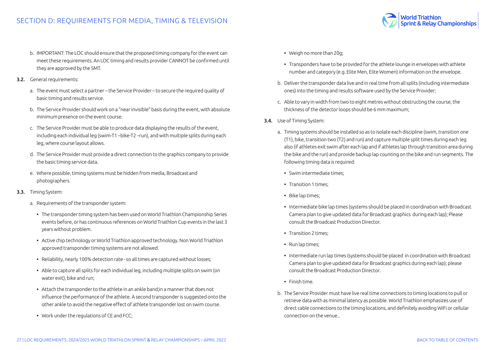- b. IMPORTANT: The LOC should ensure that the proposed timing company for the event can meet these requirements. An LOC timing and results provider CANNOT be confirmed until they are approved by the SMT.
- 3.2. General requirements:
	- a. The event must select a partner the Service Provider to secure the required quality of basic timing and results service.
	- b. The Service Provider should work on a "near invisible" basis during the event, with absolute minimum presence on the event course.
	- c. The Service Provider must be able to produce data displaying the results of the event, including each individual leg (swim-T1 –bike-T2 –run), and with multiple splits during each leg, where course layout allows.
	- d. The Service Provider must provide a direct connection to the graphics company to provide the basic timing service data.
	- e. Where possible, timing systems must be hidden from media, Broadcast and photographers.
- 3.3. Timing System:
	- a. Requirements of the transponder system:
		- The transponder timing system has been used on World Triathlon Championship Series events before, or has continuous references on World Triathlon Cup events in the last 3 years without problem.
		- Active chip technology or World Triathlon approved technology. Non World Triathlon approved transponder timing systems are not allowed.
		- Reliability, nearly 100% detection rate so all times are captured without losses;
		- Able to capture all splits for each individual leg, including multiple splits on swim (on water exit), bike and run;
		- Attach the transponder to the athlete in an ankle band;in a manner that does not influence the performance of the athlete. A second transponder is suggested onto the other ankle to avoid the negative effect of athlete transponder lost on swim course.
		- Work under the regulations of CE and FCC;
- Weigh no more than 20g;
- Transponders have to be provided for the athlete lounge in envelopes with athlete number and category (e.g. Elite Men, Elite Women) information on the envelope.

**Norld Triathlon** 

**Sprint & Relay Championships** 

- b. Deliver the transponder data live and in real time from all splits (including intermediate ones) into the timing and results software used by the Service Provider;
- c. Able to vary in width from two to eight metres without obstructing the course, the thickness of the detector loops should be 6 mm maximum;
- 3.4. Use of Timing System:
	- a. Timing systems should be installed so as to isolate each discipline (swim, transition one (T1), bike, transition two (T2) and run) and capture multiple split times during each leg also (if athletes exit swim after each lap and if athletes lap through transition area during the bike and the run) and provide backup lap counting on the bike and run segments. The following timing data is required:
		- Swim intermediate times;
		- Transition 1 times;
		- Bike lap times;
		- Intermediate bike lap times (systems should be placed in coordination with Broadcast Camera plan to give updated data for Broadcast graphics during each lap); Please consult the Broadcast Production Director.
		- Transition 2 times;
		- Run lap times;
		- Intermediate run lap times (systems should be placed in coordination with Broadcast Camera plan to give updated data for Broadcast graphics during each lap); please consult the Broadcast Production Director.
		- Finish time.
	- b. The Service Provider must have live real time connections to timing locations to pull or retrieve data with as minimal latency as possible. World Triathlon emphasizes use of direct cable connections to the timing locations, and definitely avoiding WiFi or cellular connection on the venue..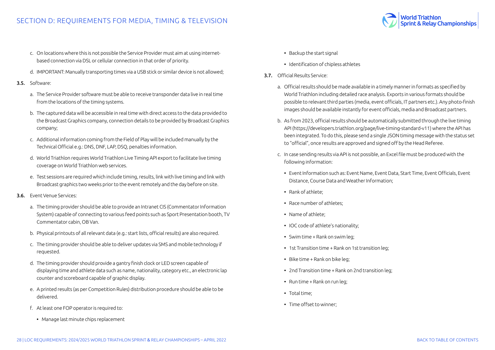**Norld Triathlon Sprint & Relay Championships** 

- c. On locations where this is not possible the Service Provider must aim at using internetbased connection via DSL or cellular connection in that order of priority.
- d. IMPORTANT: Manually transporting times via a USB stick or similar device is not allowed;
- 3.5. Software:
	- a. The Service Provider software must be able to receive transponder data live in real time from the locations of the timing systems.
	- b. The captured data will be accessible in real time with direct access to the data provided to the Broadcast Graphics company, connection details to be provided by Broadcast Graphics company;
	- c. Additional information coming from the Field of Play will be included manually by the Technical Official e.g.: DNS, DNF, LAP, DSQ, penalties information.
	- d. World Triathlon requires World Triathlon Live Timing API export to facilitate live timing coverage on World Triathlon web services.
	- e. Test sessions are required which include timing, results, link with live timing and link with Broadcast graphics two weeks prior to the event remotely and the day before on site.
- 3.6. Event Venue Services:
	- a. The timing provider should be able to provide an Intranet CIS (Commentator Information System) capable of connecting to various feed points such as Sport Presentation booth, TV Commentator cabin, OB Van.
	- b. Physical printouts of all relevant data (e.g.: start lists, official results) are also required.
	- c. The timing provider should be able to deliver updates via SMS and mobile technology if requested.
	- d. The timing provider should provide a gantry finish clock or LED screen capable of displaying time and athlete data such as name, nationality, category etc., an electronic lap counter and scoreboard capable of graphic display.
	- e. A printed results (as per Competition Rules) distribution procedure should be able to be delivered.
	- f. At least one FOP operator is required to:
		- Manage last minute chips replacement
- Backup the start signal
- Identification of chipless athletes
- 3.7. Official Results Service:
	- a. Official results should be made available in a timely manner in formats as specified by World Triathlon including detailed race analysis. Exports in various formats should be possible to relevant third parties (media, event officials, IT partners etc.). Any photo-finish images should be available instantly for event officials, media and Broadcast partners.
	- b. As from 2023, official results should be automatically submitted through the live timing API (https://developers.triathlon.org/page/live-timing-standard-v11) where the API has been integrated. To do this, please send a single JSON timing message with the status set to "official", once results are approved and signed off by the Head Referee.
	- c. In case sending results via API is not possible, an Excel file must be produced with the following information:
		- Event Information such as: Event Name, Event Data, Start Time, Event Officials, Event Distance, Course Data and Weather Information;
		- Rank of athlete;
		- Race number of athletes;
		- Name of athlete;
		- IOC code of athlete's nationality;
		- Swim time + Rank on swim leg;
		- 1st Transition time + Rank on 1st transition leg;
		- Bike time + Rank on bike leg;
		- 2nd Transition time + Rank on 2nd transition leg;
		- Run time + Rank on run leg;
		- Total time;
		- Time offset to winner;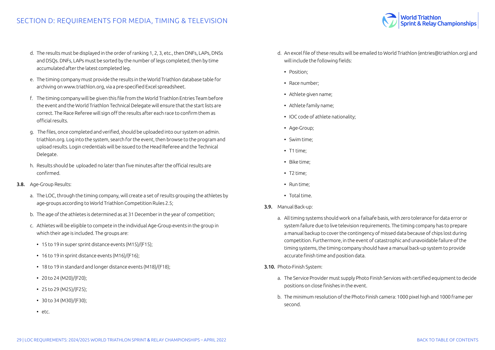

- d. The results must be displayed in the order of ranking 1, 2, 3, etc., then DNFs, LAPs, DNSs and DSQs. DNFs, LAPs must be sorted by the number of legs completed, then by time accumulated after the latest completed leg.
- e. The timing company must provide the results in the World Triathlon database table for archiving on www.triathlon.org, via a pre-specified Excel spreadsheet.
- f. The timing company will be given this file from the World Triathlon Entries Team before the event and the World Triathlon Technical Delegate will ensure that the start lists are correct. The Race Referee will sign off the results after each race to confirm them as official results.
- g. The files, once completed and verified, should be uploaded into our system on admin. triathlon.org. Log into the system, search for the event, then browse to the program and upload results. Login credentials will be issued to the Head Referee and the Technical Delegate.
- h. Results should be uploaded no later than five minutes after the official results are confirmed.

#### 3.8. Age-Group Results:

- a. The LOC, through the timing company, will create a set of results grouping the athletes by age-groups according to World Triathlon Competition Rules 2.5;
- b. The age of the athletes is determined as at 31 December in the year of competition;
- c. Athletes will be eligible to compete in the individual Age-Group events in the group in which their age is included. The groups are:
	- 15 to 19 in super sprint distance events (M15)/(F15);
	- 16 to 19 in sprint distance events (M16)/(F16);
	- 18 to 19 in standard and longer distance events (M18)/(F18);
	- 20 to 24 (M20)/(F20);
	- 25 to 29 (M25)/(F25);
	- $\cdot$  30 to 34 (M30)/(F30);
	- etc.
- d. An excel file of these results will be emailed to World Triathlon (entries@triathlon.org) and will include the following fields:
	- Position;
	- Race number;
	- Athlete given name;
	- Athlete family name;
	- IOC code of athlete nationality;
	- Age-Group;
	- Swim time;
	- T1 time;
	- Bike time;
	- T2 time;
	- Run time;
	- Total time.
- 3.9. Manual Back-up:
	- a. All timing systems should work on a failsafe basis, with zero tolerance for data error or system failure due to live television requirements. The timing company has to prepare a manual backup to cover the contingency of missed data because of chips lost during competition. Furthermore, in the event of catastrophic and unavoidable failure of the timing systems, the timing company should have a manual back-up system to provide accurate finish time and position data.
- 3.10. Photo-Finish System:
	- a. The Service Provider must supply Photo Finish Services with certified equipment to decide positions on close finishes in the event.
	- b. The minimum resolution of the Photo Finish camera: 1000 pixel high and 1000 frame per second.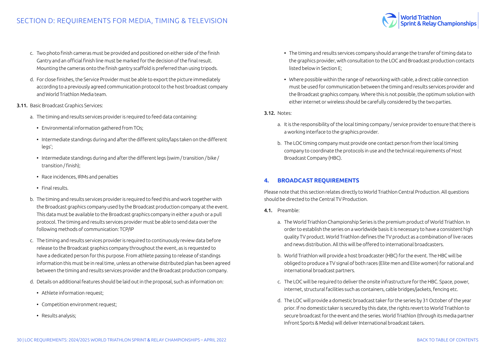- <span id="page-29-0"></span>c. Two photo finish cameras must be provided and positioned on either side of the finish Gantry and an official finish line must be marked for the decision of the final result. Mounting the cameras onto the finish gantry scaffold is preferred than using tripods.
- d. For close finishes, the Service Provider must be able to export the picture immediately according to a previously agreed communication protocol to the host broadcast company and World Triathlon Media team.
- 3.11. Basic Broadcast Graphics Services:
	- a. The timing and results services provider is required to feed data containing:
		- Environmental information gathered from TOs;
		- Intermediate standings during and after the different splits/laps taken on the different legs';
		- Intermediate standings during and after the different legs (swim / transition / bike / transition / finish);
		- Race incidences, IRMs and penalties
		- Final results.
	- b. The timing and results services provider is required to feed this and work together with the Broadcast graphics company used by the Broadcast production company at the event. This data must be available to the Broadcast graphics company in either a push or a pull protocol. The timing and results services provider must be able to send data over the following methods of communication: TCP/IP
	- c. The timing and results services provider is required to continuously review data before release to the Broadcast graphics company throughout the event, as is requested to have a dedicated person for this purpose. From athlete passing to release of standings information this must be in real time, unless an otherwise distributed plan has been agreed between the timing and results services provider and the Broadcast production company.
	- d. Details on additional features should be laid out in the proposal, such as information on:
		- Athlete information request:
		- Competition environment request;
		- Results analysis;

• The timing and results services company should arrange the transfer of timing data to the graphics provider, with consultation to the LOC and Broadcast production contacts listed below in Section E;

World Triathlon<br>Sprint & Relay Championships

- Where possible within the range of networking with cable, a direct cable connection must be used for communication between the timing and results services provider and the Broadcast graphics company. Where this is not possible, the optimum solution with either internet or wireless should be carefully considered by the two parties.
- 3.12. Notes:
	- a. It is the responsibility of the local timing company / service provider to ensure that there is a working interface to the graphics provider.
	- b. The LOC timing company must provide one contact person from their local timing company to coordinate the protocols in use and the technical requirements of Host Broadcast Company (HBC).

#### **4. BROADCAST REQUIREMENTS**

Please note that this section relates directly to World Triathlon Central Production. All questions should be directed to the Central TV Production.

- 4.1. Preamble:
	- a. The World Triathlon Championship Series is the premium product of World Triathlon. In order to establish the series on a worldwide basis it is necessary to have a consistent high quality TV product. World Triathlon defines the TV product as a combination of live races and news distribution. All this will be offered to international broadcasters.
	- b. World Triathlon will provide a host broadcaster (HBC) for the event. The HBC will be obliged to produce a TV signal of both races (Elite men and Elite women) for national and international broadcast partners.
	- c. The LOC will be required to deliver the onsite infrastructure for the HBC. Space, power, internet, structural facilities such as containers, cable bridges/jackets, fencing etc.
	- d. The LOC will provide a domestic broadcast taker for the series by 31 October of the year prior. If no domestic taker is secured by this date, the rights revert to World Triathlon to secure broadcast for the event and the series. World Triathlon (through its media partner Infront Sports & Media) will deliver International broadcast takers.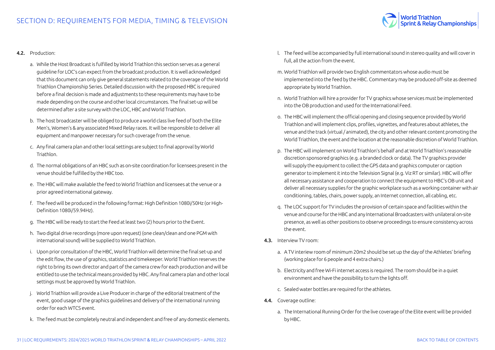

#### 4.2. Production:

- a. While the Host Broadcast is fulfilled by World Triathlon this section serves as a general guideline for LOC's can expect from the broadcast production. It is well acknowledged that this document can only give general statements related to the coverage of the World Triathlon Championship Series. Detailed discussion with the proposed HBC is required before a final decision is made and adjustments to these requirements may have to be made depending on the course and other local circumstances. The final set-up will be determined after a site survey with the LOC, HBC and World Triathlon.
- b. The host broadcaster will be obliged to produce a world class live feed of both the Elite Men's, Women's & any associated Mixed Relay races. It will be responsible to deliver all equipment and manpower necessary for such coverage from the venue.
- c. Any final camera plan and other local settings are subject to final approval by World Triathlon.
- d. The normal obligations of an HBC such as on-site coordination for licensees present in the venue should be fulfilled by the HBC too.
- e. The HBC will make available the feed to World Triathlon and licensees at the venue or a prior agreed international gateway.
- f. The feed will be produced in the following format: High Definition 1080i/50Hz (or High-Definition 1080i/59.94Hz).
- g. The HBC will be ready to start the Feed at least two (2) hours prior to the Event.
- h. Two digital drive recordings (more upon request) (one clean/clean and one PGM with international sound) will be supplied to World Triathlon.
- i. Upon prior consultation of the HBC, World Triathlon will determine the final set-up and the edit flow, the use of graphics, statistics and timekeeper. World Triathlon reserves the right to bring its own director and part of the camera crew for each production and will be entitled to use the technical means provided by HBC. Any final camera plan and other local settings must be approved by World Triathlon.
- j. World Triathlon will provide a Live Producer in charge of the editorial treatment of the event, good usage of the graphics guidelines and delivery of the international running order for each WTCS event.
- k. The feed must be completely neutral and independent and free of any domestic elements.
- l. The feed will be accompanied by full international sound in stereo quality and will cover in full, all the action from the event.
- m. World Triathlon will provide two English commentators whose audio must be implemented into the feed by the HBC. Commentary may be produced off-site as deemed appropriate by World Triathlon.
- n. World Triathlon will hire a provider for TV graphics whose services must be implemented into the OB production and used for the International Feed.
- o. The HBC will implement the official opening and closing sequence provided by World Triathlon and will implement clips, profiles, vignettes, and features about athletes, the venue and the track (virtual / animated), the city and other relevant content promoting the World Triathlon, the event and the location at the reasonable discretion of World Triathlon.
- p. The HBC will implement on World Triathlon's behalf and at World Triathlon's reasonable discretion sponsored graphics (e.g. a branded clock or data). The TV graphics provider will supply the equipment to collect the GPS data and graphics computer or caption generator to implement it into the Television Signal (e.g. Viz RT or similar). HBC will offer all necessary assistance and cooperation to connect the equipment to HBC's OB unit and deliver all necessary supplies for the graphic workplace such as a working container with air conditioning, tables, chairs, power supply, an Internet connection, all cabling, etc.
- q. The LOC support for TV includes the provision of certain space and facilities within the venue and course for the HBC and any International Broadcasters with unilateral on-site presence, as well as other positions to observe proceedings to ensure consistency across the event.
- 4.3. Interview TV room:
	- a. A TV interiew room of minimum 20m2 should be set up the day of the Athletes' briefing (working place for 6 people and 4 extra chairs.)
	- b. Electricity and free Wi-Fi internet access is required. The room should be in a quiet environment and have the possibility to turn the lights off.
	- c. Sealed water bottles are required for the athletes.
- 4.4. Coverage outline:
	- a. The International Running Order for the live coverage of the Elite event will be provided by HBC.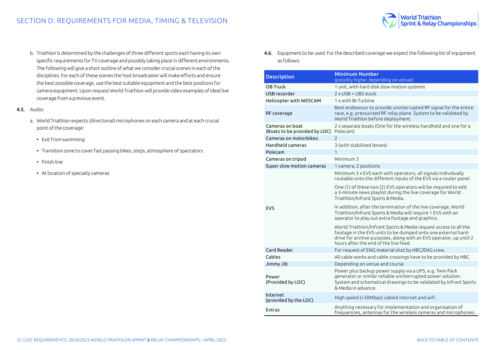

b. Triathlon is determined by the challenges of three different sports each having its own specific requirements for TV coverage and possibly taking place in different environments. The following will give a short outline of what we consider crucial scenes in each of the disciplines. For each of these scenes the host broadcaster will make efforts and ensure the best possible coverage, use the best suitable equipment and the best positions for camera equipment. Upon request World Triathlon will provide video examples of ideal live coverage from a previous event.

#### 4.5. Audio:

- a. World Triathlon expects (directional) microphones on each camera and at each crucial point of the coverage:
	- Exit from swimming
	- Transition zone to cover fast passing bikes, steps, atmosphere of spectators
	- Finish line
	- At location of specialty cameras

4.6. Equipment to be used: For the described coverage we expect the following list of equipment as follows:

| <b>Description</b>                               | <b>Minimum Number</b><br>(possibly higher depending on venue):                                                                                                                                                                                   |  |  |  |  |
|--------------------------------------------------|--------------------------------------------------------------------------------------------------------------------------------------------------------------------------------------------------------------------------------------------------|--|--|--|--|
| OB Truck                                         | 1 unit, with hard disk slow motion systems                                                                                                                                                                                                       |  |  |  |  |
| USB recorder                                     | 2 x USB + UBS stock                                                                                                                                                                                                                              |  |  |  |  |
| Helicopter with WESCAM                           | 1 x with Bi-Turbine                                                                                                                                                                                                                              |  |  |  |  |
| RF coverage                                      | Best endeavour to provide uninterrupted RF signal for the entire<br>race, e.g. pressurized RF relay plane. System to be validated by<br>World Triathlon before deployment.                                                                       |  |  |  |  |
| Cameras on boat<br>(Boats to be provided by LOC) | 2 x separate boats (One for the wireless handheld and one for a<br>Polecam)                                                                                                                                                                      |  |  |  |  |
| Cameras on motorbikes:                           | $\mathcal{P}$                                                                                                                                                                                                                                    |  |  |  |  |
| Handheld cameras                                 | 3 (with stabilised lenses)                                                                                                                                                                                                                       |  |  |  |  |
| Polecam                                          | 1                                                                                                                                                                                                                                                |  |  |  |  |
| Cameras on tripod                                | Minimum 3                                                                                                                                                                                                                                        |  |  |  |  |
| Super slow motion cameras                        | 1 camera, 2 positions                                                                                                                                                                                                                            |  |  |  |  |
|                                                  | Minimum 3 x EVS each with operators, all signals individually<br>routable onto the different inputs of the EVS via a router panel.                                                                                                               |  |  |  |  |
|                                                  | One (1) of these two (2) EVS operators will be required to edit<br>a 3-minute news playlist during the live coverage for World<br>Triathlon/Infront Sports & Media.                                                                              |  |  |  |  |
| <b>EVS</b>                                       | In addition, after the termination of the live coverage, World<br>Triathlon/Infront Sports & Media will require 1 EVS with an<br>operator to play out extra footage and graphics.                                                                |  |  |  |  |
|                                                  | World Triathlon/Infront Sports & Media request access to all the<br>footage in the EVS units to be dumped onto one external hard-<br>drive for archive purposes, along with an EVS operator, up until 2<br>hours after the end of the live feed. |  |  |  |  |
| Card Reader                                      | For request of ENG material shot by HBC/ENG crew.                                                                                                                                                                                                |  |  |  |  |
| Cables                                           | All cable works and cable crossings have to be provided by HBC                                                                                                                                                                                   |  |  |  |  |
| Jimmy Jib                                        | Depending on venue and course                                                                                                                                                                                                                    |  |  |  |  |
| Power<br>(Provided by LOC)                       | Power plus backup power supply via a UPS, e.g. Twin Pack<br>generator or similar reliable uninterrupted power solution.<br>System and schematical drawings to be validated by Infront Sports<br>& Media in advance.                              |  |  |  |  |
| Internet<br>(provided by the LOC)                | High speed (>50Mbps) cabled internet and wifi.                                                                                                                                                                                                   |  |  |  |  |
| Extras                                           | Anything necessary for implementation and organisation of<br>frequencies, antennas for the wireless cameras and microphones.                                                                                                                     |  |  |  |  |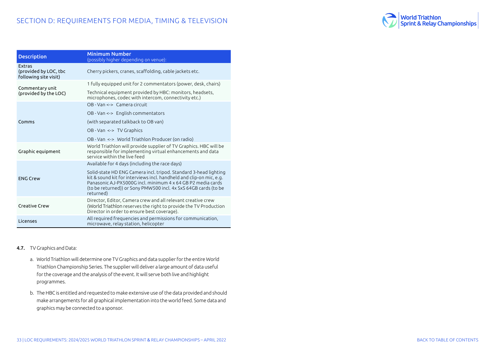

| <b>Description</b>                                       | Minimum Number<br>(possibly higher depending on venue):                                                                                                                                                                                                                                 |
|----------------------------------------------------------|-----------------------------------------------------------------------------------------------------------------------------------------------------------------------------------------------------------------------------------------------------------------------------------------|
| Extras<br>(provided by LOC, tbc<br>following site visit) | Cherry pickers, cranes, scaffolding, cable jackets etc.                                                                                                                                                                                                                                 |
| Commentary unit                                          | 1 fully equipped unit for 2 commentators (power, desk, chairs)                                                                                                                                                                                                                          |
| (provided by the LOC)                                    | Technical equipment provided by HBC: monitors, headsets,<br>microphones, codec with intercom, connectivity etc.)                                                                                                                                                                        |
|                                                          | OB - Van <-> Camera circuit                                                                                                                                                                                                                                                             |
|                                                          | OB - Van <-> English commentators                                                                                                                                                                                                                                                       |
| Comms                                                    | (with separated talkback to OB van)                                                                                                                                                                                                                                                     |
|                                                          | OB - Van <-> TV Graphics                                                                                                                                                                                                                                                                |
|                                                          | OB - Van <-> World Triathlon Producer (on radio)                                                                                                                                                                                                                                        |
| Graphic equipment                                        | World Triathlon will provide supplier of TV Graphics. HBC will be<br>responsible for implementing virtual enhancements and data<br>service within the live feed                                                                                                                         |
|                                                          | Available for 4 days (including the race days)                                                                                                                                                                                                                                          |
| <b>ENG Crew</b>                                          | Solid-state HD ENG Camera incl. tripod. Standard 3-head lighting<br>kit & sound kit for interviews incl. handheld and clip-on mic, e.g.<br>Panasonic A.J-PX5000G incl. minimum 4 x 64 GB P2 media cards<br>(to be returned)) or Sony PMW500 incl. 4x SxS 64GB cards (to be<br>returned) |
| Creative Crew                                            | Director, Editor, Camera crew and all relevant creative crew<br>(World Triathlon reserves the right to provide the TV Production<br>Director in order to ensure best coverage).                                                                                                         |
| Licenses                                                 | All required frequencies and permissions for communication,<br>microwave, relay station, helicopter                                                                                                                                                                                     |

#### 4.7. TV Graphics and Data:

- a. World Triathlon will determine one TV Graphics and data supplier for the entire World Triathlon Championship Series. The supplier will deliver a large amount of data useful for the coverage and the analysis of the event. It will serve both live and highlight programmes.
- b. The HBC is entitled and requested to make extensive use of the data provided and should make arrangements for all graphical implementation into the world feed. Some data and graphics may be connected to a sponsor.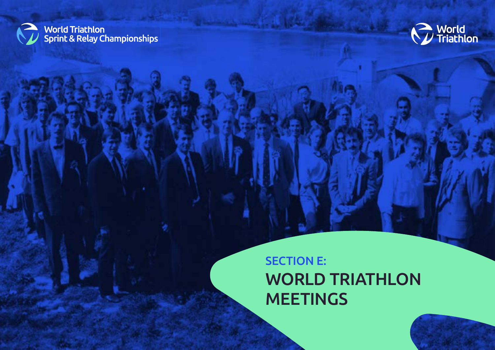<span id="page-33-0"></span>



# SECTION E: WORLD TRIATHLON **MEETINGS**

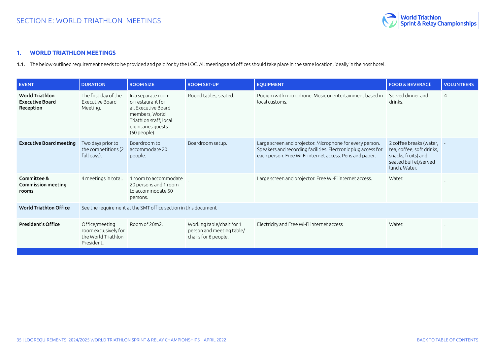

#### <span id="page-34-0"></span>**1. WORLD TRIATHLON MEETINGS**

1.1. The below outlined requirement needs to be provided and paid for by the LOC. All meetings and offices should take place in the same location, ideally in the host hotel.

| <b>EVENT</b>                                                  | <b>DURATION</b>                                                             | <b>ROOM SIZE</b>                                                                                                                                   | <b>ROOM SET-UP</b>                                                             | <b>EQUIPMENT</b>                                                                                                                                                                      | <b>FOOD &amp; BEVERAGE</b>                                                                                             | <b>VOLUNTEERS</b> |
|---------------------------------------------------------------|-----------------------------------------------------------------------------|----------------------------------------------------------------------------------------------------------------------------------------------------|--------------------------------------------------------------------------------|---------------------------------------------------------------------------------------------------------------------------------------------------------------------------------------|------------------------------------------------------------------------------------------------------------------------|-------------------|
| <b>World Triathlon</b><br><b>Executive Board</b><br>Reception | The first day of the<br>Executive Board<br>Meeting.                         | In a separate room<br>or restaurant for<br>all Executive Board<br>members, World<br>Triathlon staff, local<br>dignitaries guests<br>$(60$ people). | Round tables, seated.                                                          | Podium with microphone. Music or entertainment based in<br>local customs.                                                                                                             | Served dinner and<br>drinks.                                                                                           | $\overline{4}$    |
| <b>Executive Board meeting</b>                                | Two days prior to<br>the competitions (2<br>full days).                     | Boardroom to<br>accommodate 20<br>people.                                                                                                          | Boardroom setup.                                                               | Large screen and projector. Microphone for every person.<br>Speakers and recording facilities. Electronic plug access for<br>each person. Free Wi-Fi internet access. Pens and paper. | 2 coffee breaks (water, -<br>tea, coffee, soft drinks,<br>snacks, fruits) and<br>seated buffet/served<br>lunch. Water. |                   |
| Committee &<br>Commission meeting<br>rooms                    | 4 meetings in total.                                                        | 1 room to accommodate<br>20 persons and 1 room<br>to accommodate 50<br>persons.                                                                    |                                                                                | Large screen and projector. Free Wi-Fi internet access.                                                                                                                               | Water.                                                                                                                 |                   |
| <b>World Triathlon Office</b>                                 | See the requirement at the SMT office section in this document              |                                                                                                                                                    |                                                                                |                                                                                                                                                                                       |                                                                                                                        |                   |
| <b>President's Office</b>                                     | Office/meeting<br>room exclusively for<br>the World Triathlon<br>President. | Room of 20m2.                                                                                                                                      | Working table/chair for 1<br>person and meeting table/<br>chairs for 6 people. | Electricity and Free Wi-Fi internet access                                                                                                                                            | Water.                                                                                                                 |                   |